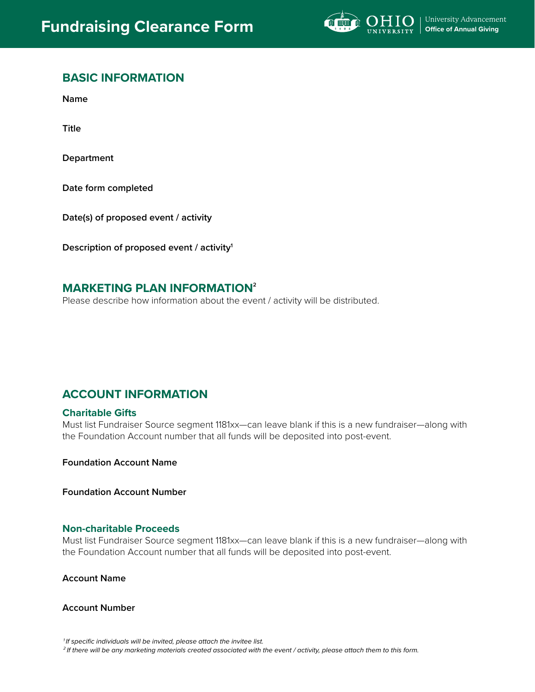

# **BASIC INFORMATION**

**Name** 

**Title**

**Department**

**Date form completed**

**Date(s) of proposed event / activity**

**Description of proposed event / activity1** 

# **MARKETING PLAN INFORMATION<sup>2</sup>**

Please describe how information about the event / activity will be distributed.

# **ACCOUNT INFORMATION**

## **Charitable Gifts**

Must list Fundraiser Source segment 1181xx—can leave blank if this is a new fundraiser—along with the Foundation Account number that all funds will be deposited into post-event.

**Foundation Account Name**

**Foundation Account Number**

## **Non-charitable Proceeds**

Must list Fundraiser Source segment 1181xx—can leave blank if this is a new fundraiser—along with the Foundation Account number that all funds will be deposited into post-event.

## **Account Name**

#### **Account Number**

*1 If specific individuals will be invited, please attach the invitee list.*

*2 If there will be any marketing materials created associated with the event / activity, please attach them to this form.*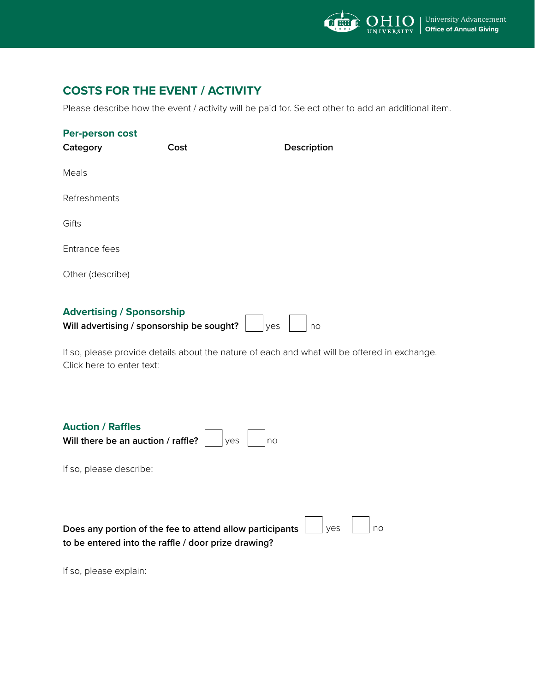

# **COSTS FOR THE EVENT / ACTIVITY**

Please describe how the event / activity will be paid for. Select other to add an additional item.

| Per-person cost<br>Category      | Cost | Description |
|----------------------------------|------|-------------|
| Meals                            |      |             |
| Refreshments                     |      |             |
| Gifts                            |      |             |
| Entrance fees                    |      |             |
| Other (describe)                 |      |             |
| <b>Advertising / Sponsorship</b> |      |             |

| Will advertising / sponsorship be sought? | <b>Ves</b> | l no |
|-------------------------------------------|------------|------|

If so, please provide details about the nature of each and what will be offered in exchange. Click here to enter text:

| <b>Auction / Raffles</b>                                |  |  |
|---------------------------------------------------------|--|--|
| Will there be an auction / raffle? $\Box$ yes $\Box$ no |  |  |

If so, please describe:

| Does any portion of the fee to attend allow participants $\boxed{\phantom{a}}$ yes $\boxed{\phantom{a}}$ no |  |  |
|-------------------------------------------------------------------------------------------------------------|--|--|
| to be entered into the raffle / door prize drawing?                                                         |  |  |

If so, please explain: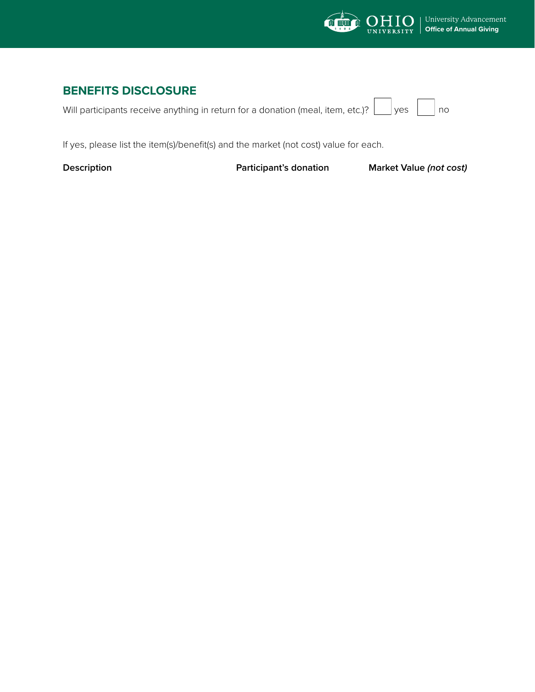

# **BENEFITS DISCLOSURE**

Will participants receive anything in return for a donation (meal, item, etc.)?  $\lfloor$ 

 $\Box$  yes  $\vert$   $\vert$  no

If yes, please list the item(s)/benefit(s) and the market (not cost) value for each.

**Description Construction Participant's donation Market Value (not cost)**